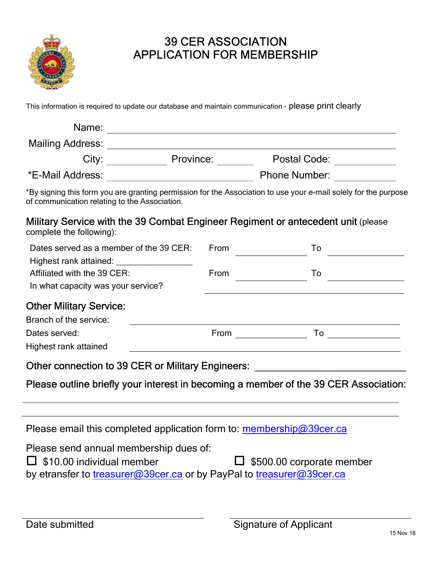

## 39 CER ASSOCIATION APPLICATION FOR MEMBERSHIP

This information is required to update our database and maintain communication - please print clearly

| Name:                                                                                                                                                            | <u> 1989 - Johann Barnett, fransk politiker (d. 1989)</u> |                                                          |  |
|------------------------------------------------------------------------------------------------------------------------------------------------------------------|-----------------------------------------------------------|----------------------------------------------------------|--|
|                                                                                                                                                                  |                                                           |                                                          |  |
|                                                                                                                                                                  |                                                           | City: <u>City:</u> Province: Province: Postal Code: 2000 |  |
|                                                                                                                                                                  |                                                           |                                                          |  |
| *By signing this form you are granting permission for the Association to use your e-mail solely for the purpose<br>of communication relating to the Association. |                                                           |                                                          |  |
| Military Service with the 39 Combat Engineer Regiment or antecedent unit (please<br>complete the following):                                                     |                                                           |                                                          |  |
| Dates served as a member of the 39 CER:<br>Highest rank attained: ___________________                                                                            |                                                           | From $\overline{\qquad \qquad }$                         |  |
| Affiliated with the 39 CER:<br>In what capacity was your service?                                                                                                |                                                           | From ______________                                      |  |
| <b>Other Military Service:</b>                                                                                                                                   |                                                           |                                                          |  |
| Branch of the service:                                                                                                                                           |                                                           |                                                          |  |
| Dates served:                                                                                                                                                    |                                                           |                                                          |  |
| Highest rank attained                                                                                                                                            |                                                           | <u> 1980 - Jan James James, martin amerikan ba</u>       |  |
| Other connection to 39 CER or Military Engineers: ______________________________                                                                                 |                                                           |                                                          |  |
| Please outline briefly your interest in becoming a member of the 39 CER Association:                                                                             |                                                           |                                                          |  |
|                                                                                                                                                                  |                                                           |                                                          |  |
| Please email this completed application form to: $m$ embership $@39$ cer.ca                                                                                      |                                                           |                                                          |  |
| Please send annual membership dues of:<br>\$10.00 individual member<br>by etransfer to treasurer@39cer.ca or by PayPal to treasurer@39cer.ca                     |                                                           | $\Box$ \$500.00 corporate member                         |  |